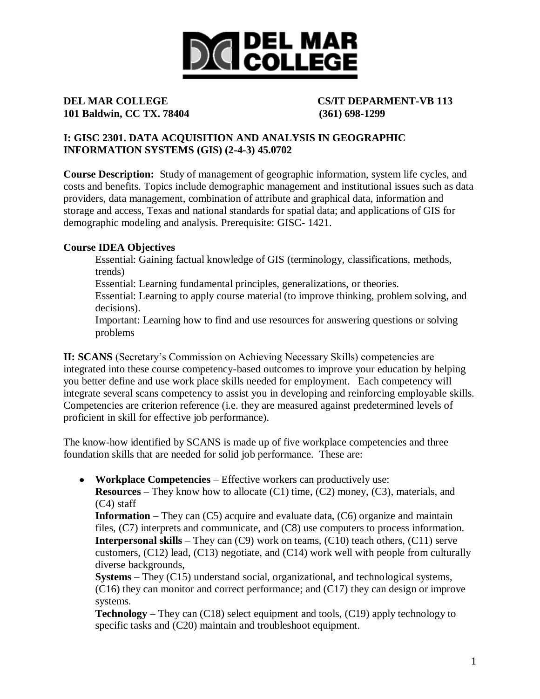

# **101 Baldwin, CC TX. 78404 (361) 698-1299**

# **DEL MAR COLLEGE CS/IT DEPARMENT-VB 113**

## **I: GISC 2301. DATA ACQUISITION AND ANALYSIS IN GEOGRAPHIC INFORMATION SYSTEMS (GIS) (2-4-3) 45.0702**

**Course Description:** Study of management of geographic information, system life cycles, and costs and benefits. Topics include demographic management and institutional issues such as data providers, data management, combination of attribute and graphical data, information and storage and access, Texas and national standards for spatial data; and applications of GIS for demographic modeling and analysis. Prerequisite: GISC- 1421.

## **Course IDEA Objectives**

Essential: Gaining factual knowledge of GIS (terminology, classifications, methods, trends)

Essential: Learning fundamental principles, generalizations, or theories.

Essential: Learning to apply course material (to improve thinking, problem solving, and decisions).

Important: Learning how to find and use resources for answering questions or solving problems

**II: SCANS** (Secretary's Commission on Achieving Necessary Skills) competencies are integrated into these course competency-based outcomes to improve your education by helping you better define and use work place skills needed for employment. Each competency will integrate several scans competency to assist you in developing and reinforcing employable skills. Competencies are criterion reference (i.e. they are measured against predetermined levels of proficient in skill for effective job performance).

The know-how identified by SCANS is made up of five workplace competencies and three foundation skills that are needed for solid job performance. These are:

**Workplace Competencies** – Effective workers can productively use:

**Resources** – They know how to allocate (C1) time, (C2) money, (C3), materials, and (C4) staff

**Information** – They can (C5) acquire and evaluate data, (C6) organize and maintain files, (C7) interprets and communicate, and (C8) use computers to process information. **Interpersonal skills** – They can (C9) work on teams, (C10) teach others, (C11) serve customers, (C12) lead, (C13) negotiate, and (C14) work well with people from culturally diverse backgrounds,

**Systems** – They (C15) understand social, organizational, and technological systems, (C16) they can monitor and correct performance; and (C17) they can design or improve systems.

**Technology** – They can (C18) select equipment and tools, (C19) apply technology to specific tasks and (C20) maintain and troubleshoot equipment.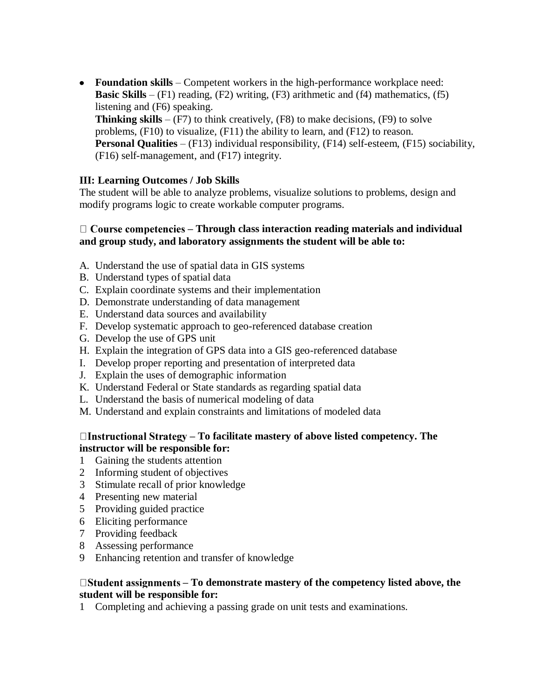**Foundation skills** – Competent workers in the high-performance workplace need: **Basic Skills** –  $(F1)$  reading,  $(F2)$  writing,  $(F3)$  arithmetic and  $(f4)$  mathematics,  $(f5)$ listening and (F6) speaking. **Thinking skills** –  $(F7)$  to think creatively,  $(F8)$  to make decisions,  $(F9)$  to solve problems, (F10) to visualize, (F11) the ability to learn, and (F12) to reason. **Personal Qualities** – (F13) individual responsibility, (F14) self-esteem, (F15) sociability, (F16) self-management, and (F17) integrity.

### **III: Learning Outcomes / Job Skills**

The student will be able to analyze problems, visualize solutions to problems, design and modify programs logic to create workable computer programs.

### **– Through class interaction reading materials and individual and group study, and laboratory assignments the student will be able to:**

- A. Understand the use of spatial data in GIS systems
- B. Understand types of spatial data
- C. Explain coordinate systems and their implementation
- D. Demonstrate understanding of data management
- E. Understand data sources and availability
- F. Develop systematic approach to geo-referenced database creation
- G. Develop the use of GPS unit
- H. Explain the integration of GPS data into a GIS geo-referenced database
- I. Develop proper reporting and presentation of interpreted data
- J. Explain the uses of demographic information
- K. Understand Federal or State standards as regarding spatial data
- L. Understand the basis of numerical modeling of data
- M. Understand and explain constraints and limitations of modeled data

#### **– To facilitate mastery of above listed competency. The instructor will be responsible for:**

- 1 Gaining the students attention
- 2 Informing student of objectives
- 3 Stimulate recall of prior knowledge
- 4 Presenting new material
- 5 Providing guided practice
- 6 Eliciting performance
- 7 Providing feedback
- 8 Assessing performance
- 9 Enhancing retention and transfer of knowledge

#### **– To demonstrate mastery of the competency listed above, the student will be responsible for:**

1 Completing and achieving a passing grade on unit tests and examinations.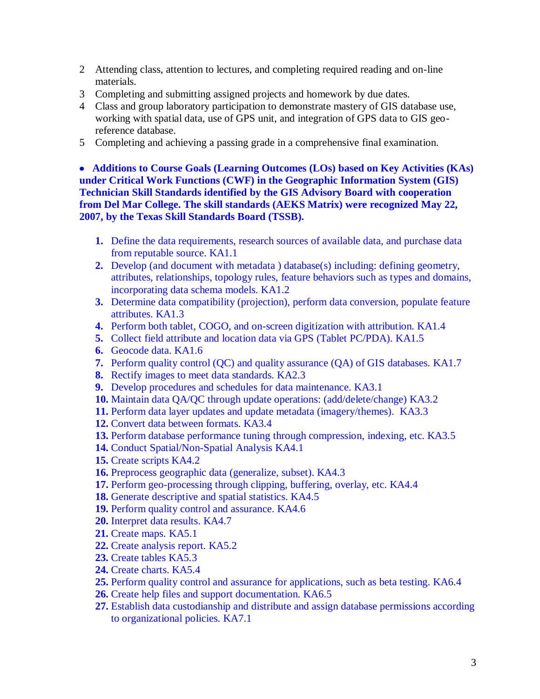- 2 Attending class, attention to lectures, and completing required reading and on-line materials.
- 3 Completing and submitting assigned projects and homework by due dates.
- 4 Class and group laboratory participation to demonstrate mastery of GIS database use, working with spatial data, use of GPS unit, and integration of GPS data to GIS georeference database.
- 5 Completing and achieving a passing grade in a comprehensive final examination.

 **Additions to Course Goals (Learning Outcomes (LOs) based on Key Activities (KAs) under Critical Work Functions (CWF) in the Geographic Information System (GIS) Technician Skill Standards identified by the GIS Advisory Board with cooperation from Del Mar College. The skill standards (AEKS Matrix) were recognized May 22, 2007, by the Texas Skill Standards Board (TSSB).** 

- **1.** Define the data requirements, research sources of available data, and purchase data from reputable source. KA1.1
- **2.** Develop (and document with metadata ) database(s) including: defining geometry, attributes, relationships, topology rules, feature behaviors such as types and domains, incorporating data schema models. KA1.2
- **3.** Determine data compatibility (projection), perform data conversion, populate feature attributes. KA1.3
- **4.** Perform both tablet, COGO, and on-screen digitization with attribution. KA1.4
- **5.** Collect field attribute and location data via GPS (Tablet PC/PDA). KA1.5
- **6.** Geocode data. KA1.6
- **7.** Perform quality control (QC) and quality assurance (QA) of GIS databases. KA1.7
- **8.** Rectify images to meet data standards. KA2.3
- **9.** Develop procedures and schedules for data maintenance. KA3.1
- **10.** Maintain data QA/QC through update operations: (add/delete/change) KA3.2
- **11.** Perform data layer updates and update metadata (imagery/themes). KA3.3
- **12.** Convert data between formats. KA3.4
- **13.** Perform database performance tuning through compression, indexing, etc. KA3.5
- **14.** Conduct Spatial/Non-Spatial Analysis KA4.1
- **15.** Create scripts KA4.2
- **16.** Preprocess geographic data (generalize, subset). KA4.3
- **17.** Perform geo-processing through clipping, buffering, overlay, etc. KA4.4
- **18.** Generate descriptive and spatial statistics. KA4.5
- **19.** Perform quality control and assurance. KA4.6
- **20.** Interpret data results. KA4.7
- **21.** Create maps. KA5.1
- **22.** Create analysis report. KA5.2
- **23.** Create tables KA5.3
- **24.** Create charts. KA5.4
- **25.** Perform quality control and assurance for applications, such as beta testing. KA6.4
- **26.** Create help files and support documentation. KA6.5
- **27.** Establish data custodianship and distribute and assign database permissions according to organizational policies. KA7.1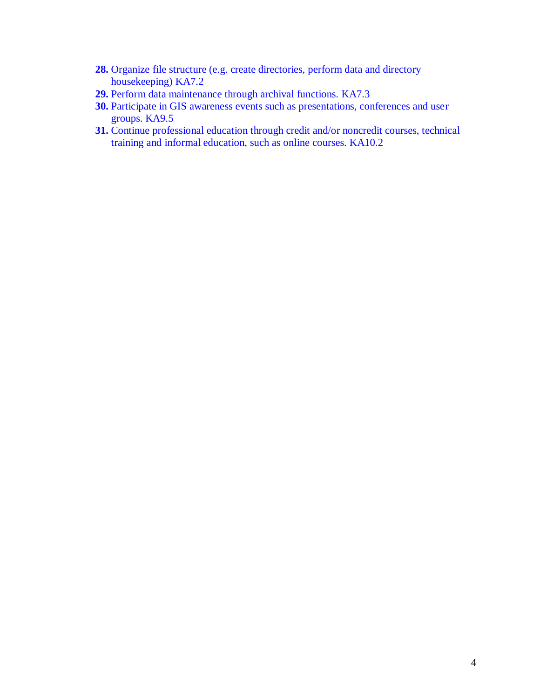- **28.** Organize file structure (e.g. create directories, perform data and directory housekeeping) KA7.2
- **29.** Perform data maintenance through archival functions. KA7.3
- **30.** Participate in GIS awareness events such as presentations, conferences and user groups. KA9.5
- **31.** Continue professional education through credit and/or noncredit courses, technical training and informal education, such as online courses. KA10.2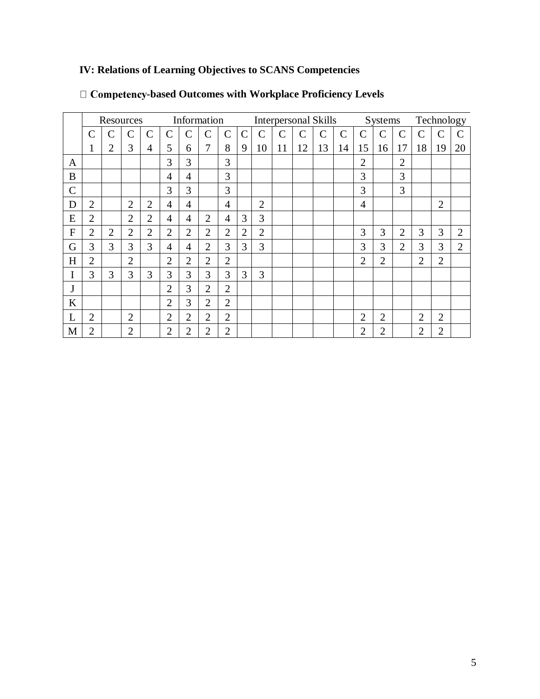# **IV: Relations of Learning Objectives to SCANS Competencies**

|              | Resources      |                |                |                | Information    |                |                |                | <b>Interpersonal Skills</b> |                |               |                    |              |               |                | Systems        |                |                | Technology     |                |  |
|--------------|----------------|----------------|----------------|----------------|----------------|----------------|----------------|----------------|-----------------------------|----------------|---------------|--------------------|--------------|---------------|----------------|----------------|----------------|----------------|----------------|----------------|--|
|              | $\overline{C}$ |                | С              | $\overline{C}$ | $\overline{C}$ | Ċ              | $\overline{C}$ | $\mathcal{C}$  | $\mathsf{C}$                | $\overline{C}$ | $\mathcal{C}$ | $\overline{\rm C}$ | $\mathsf{C}$ | $\mathcal{C}$ | $\overline{C}$ | $\mathcal{C}$  | $\mathcal{C}$  | $\mathbf C$    | Ċ              |                |  |
|              | -1             | $\overline{2}$ | 3              | 4              | 5              | 6              | 7              | 8              | 9                           | 10             | 11            | 12                 | 13           | 14            | 15             | 16             | 17             | 18             | 19             | 20             |  |
| A            |                |                |                |                | 3              | 3              |                | 3              |                             |                |               |                    |              |               | $\overline{2}$ |                | $\overline{2}$ |                |                |                |  |
| B            |                |                |                |                | $\overline{4}$ | $\overline{4}$ |                | 3              |                             |                |               |                    |              |               | 3              |                | 3              |                |                |                |  |
| $\mathbf C$  |                |                |                |                | 3              | 3              |                | 3              |                             |                |               |                    |              |               | 3              |                | 3              |                |                |                |  |
| D            | $\overline{2}$ |                | $\overline{2}$ | $\overline{2}$ | $\overline{4}$ | 4              |                | $\overline{4}$ |                             | $\overline{2}$ |               |                    |              |               | 4              |                |                |                | $\overline{2}$ |                |  |
| E            | $\overline{2}$ |                | $\overline{2}$ | $\overline{2}$ | $\overline{4}$ | 4              | $\overline{2}$ | $\overline{4}$ | 3                           | 3              |               |                    |              |               |                |                |                |                |                |                |  |
| $\mathbf{F}$ | $\overline{2}$ | $\overline{2}$ | $\overline{2}$ | $\overline{2}$ | $\overline{2}$ | $\overline{2}$ | $\overline{2}$ | $\overline{2}$ | $\overline{2}$              | $\overline{2}$ |               |                    |              |               | 3              | 3              | $\overline{2}$ | 3              | 3              | $\overline{2}$ |  |
| G            | 3              | 3              | 3              | 3              | 4              | 4              | $\overline{2}$ | 3              | 3                           | 3              |               |                    |              |               | 3              | 3              | $\overline{2}$ | 3              | 3              | $\overline{2}$ |  |
| H            | $\overline{2}$ |                | $\overline{2}$ |                | $\overline{2}$ | $\overline{2}$ | $\overline{2}$ | $\overline{2}$ |                             |                |               |                    |              |               | 2              | $\overline{2}$ |                | $\overline{2}$ | $\overline{2}$ |                |  |
| I            | 3              | 3              | 3              | 3              | 3              | 3              | 3              | 3              | 3                           | 3              |               |                    |              |               |                |                |                |                |                |                |  |
| J            |                |                |                |                | $\overline{2}$ | 3              | $\overline{2}$ | $\overline{2}$ |                             |                |               |                    |              |               |                |                |                |                |                |                |  |
| K            |                |                |                |                | $\overline{2}$ | 3              | $\overline{2}$ | $\overline{2}$ |                             |                |               |                    |              |               |                |                |                |                |                |                |  |
| L            | $\overline{2}$ |                | $\overline{2}$ |                | $\overline{2}$ | $\overline{2}$ | $\overline{2}$ | $\overline{2}$ |                             |                |               |                    |              |               | $\overline{2}$ | $\overline{2}$ |                | $\overline{2}$ | $\overline{2}$ |                |  |
| M            | $\overline{2}$ |                | $\overline{2}$ |                | $\overline{2}$ | $\overline{2}$ | $\overline{c}$ | $\overline{2}$ |                             |                |               |                    |              |               | $\overline{2}$ | $\overline{2}$ |                | $\overline{2}$ | $\overline{2}$ |                |  |

# $\Box$  Competency-based Outcomes with Workplace Proficiency Levels